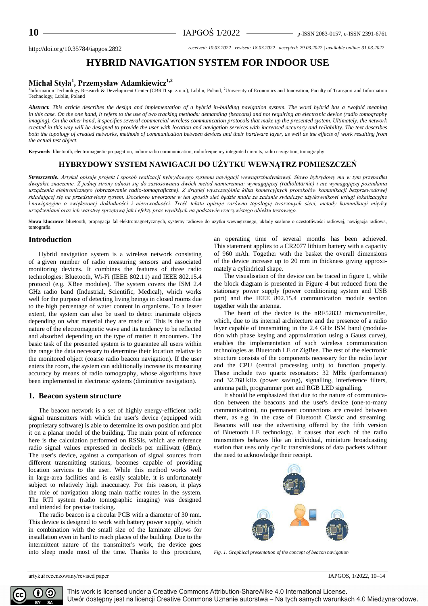http://doi.org/10.35784/iapgos.2892 *received: 10.03.2022 | revised: 18.03.2022 | accepted: 29.03.2022 | available online: 31.03.2022*

# **HYBRID NAVIGATION SYSTEM FOR INDOOR USE**

## **Michał Styła<sup>1</sup> , Przemysław Adamkiewicz1,2**

<sup>1</sup>Information Technology Research & Development Center (CBRTI sp. z o.o.), Lublin, Poland, <sup>2</sup>University of Economics and Innovation, Faculty of Transport and Information Technology, Lublin, Poland

*Abstract. This article describes the design and implementation of a hybrid in-building navigation system. The word hybrid has a twofold meaning in this case. On the one hand, it refers to the use of two tracking methods: demanding (beacons) and not requiring an electronic device (radio tomography imaging). On the other hand, it specifies several commercial wireless communication protocols that make up the presented system. Ultimately, the network created in this way will be designed to provide the user with location and navigation services with increased accuracy and reliability. The text describes both the topology of created networks, methods of communication between devices and their hardware layer, as well as the effects of work resulting from the actual test object.*

**Keywords**: bluetooth, electromagnetic propagation, indoor radio communication, radiofrequency integrated circuits, radio navigation, tomography

## **HYBRYDOWY SYSTEM NAWIGACJI DO UŻYTKU WEWNĄTRZ POMIESZCZEŃ**

*Streszczenie. Artykuł opisuje projekt i sposób realizacji hybrydowego systemu nawigacji wewnątrzbudynkowej. Słowo hybrydowy ma w tym przypadku dwojakie znaczenie. Z jednej strony odnosi się do zastosowania dwóch metod namierzania: wymagającej (radiolatarnie) i nie wymagającej posiadania urządzenia elektronicznego (obrazowanie radio-tomograficzne). Z drugiej wyszczególnia kilka komercyjnych protokołów komunikacji bezprzewodowej składającej się na przedstawiony system. Docelowo utworzone w ten sposób sieć będzie miała za zadanie świadczyć użytkownikowi usługi lokalizacyjne i nawigacyjne o zwiększonej dokładności i niezawodności. Treść tekstu opisuje zarówno topologię tworzonych sieci, metody komunikacji między urządzeniami oraz ich warstwę sprzętową jak i efekty prac wynikłych na podstawie rzeczywistego obiektu testowego.*

**Słowa kluczowe**: bluetooth, propagacja fal elektromagnetycznych, systemy radiowe do użytku wewnętrznego, układy scalone o częstotliwości radiowej, nawigacja radiowa, tomografia

#### **Introduction**

Hybrid navigation system is a wireless network consisting of a given number of radio measuring sensors and associated monitoring devices. It combines the features of three radio technologies: Bluetooth, Wi-Fi (IEEE 802.11) and IEEE 802.15.4 protocol (e.g. XBee modules). The system covers the ISM 2.4 GHz radio band (Industrial, Scientific, Medical), which works well for the purpose of detecting living beings in closed rooms due to the high percentage of water content in organisms. To a lesser extent, the system can also be used to detect inanimate objects depending on what material they are made of. This is due to the nature of the electromagnetic wave and its tendency to be reflected and absorbed depending on the type of matter it encounters. The basic task of the presented system is to guarantee all users within the range the data necessary to determine their location relative to the monitored object (coarse radio beacon navigation). If the user enters the room, the system can additionally increase its measuring accuracy by means of radio tomography, whose algorithms have been implemented in electronic systems (diminutive navigation).

#### **1. Beacon system structure**

The beacon network is a set of highly energy-efficient radio signal transmitters with which the user's device (equipped with proprietary software) is able to determine its own position and plot it on a planar model of the building. The main point of reference here is the calculation performed on RSSIs, which are reference radio signal values expressed in decibels per milliwatt (dBm). The user's device, against a comparison of signal sources from different transmitting stations, becomes capable of providing location services to the user. While this method works well in large-area facilities and is easily scalable, it is unfortunately subject to relatively high inaccuracy. For this reason, it plays the role of navigation along main traffic routes in the system. The RTI system (radio tomographic imaging) was designed and intended for precise tracking.

The radio beacon is a circular PCB with a diameter of 30 mm. This device is designed to work with battery power supply, which in combination with the small size of the laminate allows for installation even in hard to reach places of the building. Due to the intermittent nature of the transmitter's work, the device goes into sleep mode most of the time. Thanks to this procedure, an operating time of several months has been achieved. This statement applies to a CR2077 lithium battery with a capacity of 960 mAh. Together with the basket the overall dimensions of the device increase up to 20 mm in thickness giving approximately a cylindrical shape.

The visualisation of the device can be traced in figure 1, while the block diagram is presented in Figure 4 but reduced from the stationary power supply (power conditioning system and USB port) and the IEEE 802.15.4 communication module section together with the antenna.

The heart of the device is the nRF52832 microcontroller, which, due to its internal architecture and the presence of a radio layer capable of transmitting in the 2.4 GHz ISM band (modulation with phase keying and approximation using a Gauss curve), enables the implementation of such wireless communication technologies as Bluetooth LE or ZigBee. The rest of the electronic structure consists of the components necessary for the radio layer and the CPU (central processing unit) to function properly. These include two quartz resonators: 32 MHz (performance) and 32.768 kHz (power saving), signalling, interference filters, antenna path, programmer port and RGB LED signalling.

It should be emphasized that due to the nature of communication between the beacons and the user's device (one-to-many communication), no permanent connections are created between them, as e.g. in the case of Bluetooth Classic and streaming. Beacons will use the advertising offered by the fifth version of Bluetooth LE technology. It causes that each of the radio transmitters behaves like an individual, miniature broadcasting station that uses only cyclic transmissions of data packets without the need to acknowledge their receipt.



*Fig. 1. Graphical presentation of the concept of beacon navigation*



This work is licensed under a Creative Commons Attribution-ShareAlike 4.0 International License. Utwór dostępny jest na licencji Creative Commons Uznanie autorstwa – Na tych samych warunkach 4.0 Miedzynarodowe.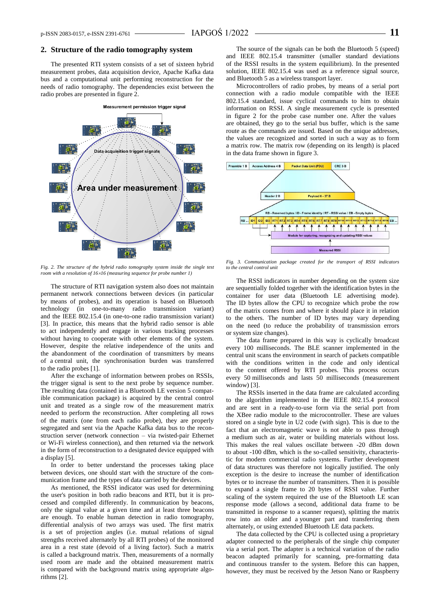#### **2. Structure of the radio tomography system**

The presented RTI system consists of a set of sixteen hybrid measurement probes, data acquisition device, Apache Kafka data bus and a computational unit performing reconstruction for the needs of radio tomography. The dependencies exist between the radio probes are presented in figure 2.



*Fig. 2. The structure of the hybrid radio tomography system inside the single test room with a resolution of 1616 (measuring sequence for probe number 1)*

The structure of RTI navigation system also does not maintain permanent network connections between devices (in particular by means of probes), and its operation is based on Bluetooth technology (in one-to-many radio transmission variant) and the IEEE 802.15.4 (in one-to-one radio transmission variant) [3]. In practice, this means that the hybrid radio sensor is able to act independently and engage in various tracking processes without having to cooperate with other elements of the system. However, despite the relative independence of the units and the abandonment of the coordination of transmitters by means of a central unit, the synchronisation burden was transferred to the radio probes [1].

After the exchange of information between probes on RSSIs, the trigger signal is sent to the next probe by sequence number. The resulting data (contained in a Bluetooth LE version 5 compatible communication package) is acquired by the central control unit and treated as a single row of the measurement matrix needed to perform the reconstruction. After completing all rows of the matrix (one from each radio probe), they are properly segregated and sent via the Apache Kafka data bus to the reconstruction server (network connection – via twisted-pair Ethernet or Wi-Fi wireless connection), and then returned via the network in the form of reconstruction to a designated device equipped with a display [5].

In order to better understand the processes taking place between devices, one should start with the structure of the communication frame and the types of data carried by the devices.

As mentioned, the RSSI indicator was used for determining the user's position in both radio beacons and RTI, but it is processed and compiled differently. In communication by beacons, only the signal value at a given time and at least three beacons are enough. To enable human detection in radio tomography, differential analysis of two arrays was used. The first matrix is a set of projection angles (i.e. mutual relations of signal strengths received alternately by all RTI probes) of the monitored area in a rest state (devoid of a living factor). Such a matrix is called a background matrix. Then, measurements of a normally used room are made and the obtained measurement matrix is compared with the background matrix using appropriate algorithms [2].

The source of the signals can be both the Bluetooth 5 (speed) and IEEE 802.15.4 transmitter (smaller standard deviations of the RSSI results in the system equilibrium). In the presented solution, IEEE 802.15.4 was used as a reference signal source, and Bluetooth 5 as a wireless transport layer.

Microcontrollers of radio probes, by means of a serial port connection with a radio module compatible with the IEEE 802.15.4 standard, issue cyclical commands to him to obtain information on RSSI. A single measurement cycle is presented in figure 2 for the probe case number one. After the values are obtained, they go to the serial bus buffer, which is the same route as the commands are issued. Based on the unique addresses, the values are recognized and sorted in such a way as to form a matrix row. The matrix row (depending on its length) is placed in the data frame shown in figure 3.



*Fig. 3. Communication package created for the transport of RSSI indicators to the central control unit*

The RSSI indicators in number depending on the system size are sequentially folded together with the identification bytes in the container for user data (Bluetooth LE advertising mode). The ID bytes allow the CPU to recognize which probe the row of the matrix comes from and where it should place it in relation to the others. The number of ID bytes may vary depending on the need (to reduce the probability of transmission errors or system size changes).

The data frame prepared in this way is cyclically broadcast every 100 milliseconds. The BLE scanner implemented in the central unit scans the environment in search of packets compatible with the conditions written in the code and only identical to the content offered by RTI probes. This process occurs every 50 milliseconds and lasts 50 milliseconds (measurement window) [3].

The RSSIs inserted in the data frame are calculated according to the algorithm implemented in the IEEE 802.15.4 protocol and are sent in a ready-to-use form via the serial port from the XBee radio module to the microcontroller. These are values stored on a single byte in U2 code (with sign). This is due to the fact that an electromagnetic wave is not able to pass through a medium such as air, water or building materials without loss. This makes the real values oscillate between -20 dBm down to about -100 dBm, which is the so-called sensitivity, characteristic for modern commercial radio systems. Further development of data structures was therefore not logically justified. The only exception is the desire to increase the number of identification bytes or to increase the number of transmitters. Then it is possible to expand a single frame to 20 bytes of RSSI value. Further scaling of the system required the use of the Bluetooth LE scan response mode (allows a second, additional data frame to be transmitted in response to a scanner request), splitting the matrix row into an older and a younger part and transferring them alternately, or using extended Bluetooth LE data packets.

The data collected by the CPU is collected using a proprietary adapter connected to the peripherals of the single chip computer via a serial port. The adapter is a technical variation of the radio beacon adapted primarily for scanning, pre-formatting data and continuous transfer to the system. Before this can happen, however, they must be received by the Jetson Nano or Raspberry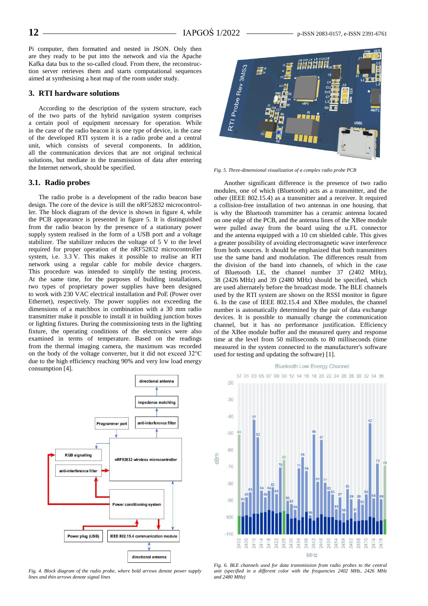Pi computer, then formatted and nested in JSON. Only then are they ready to be put into the network and via the Apache Kafka data bus to the so-called cloud. From there, the reconstruction server retrieves them and starts computational sequences aimed at synthesising a heat map of the room under study.

### **3. RTI hardware solutions**

According to the description of the system structure, each of the two parts of the hybrid navigation system comprises a certain pool of equipment necessary for operation. While in the case of the radio beacon it is one type of device, in the case of the developed RTI system it is a radio probe and a central unit, which consists of several components. In addition, all the communication devices that are not original technical solutions, but mediate in the transmission of data after entering the Internet network, should be specified.

#### **3.1. Radio probes**

The radio probe is a development of the radio beacon base design. The core of the device is still the nRF52832 microcontroller. The block diagram of the device is shown in figure 4, while the PCB appearance is presented in figure 5. It is distinguished from the radio beacon by the presence of a stationary power supply system realised in the form of a USB port and a voltage stabilizer. The stabilizer reduces the voltage of 5 V to the level required for proper operation of the nRF52832 microcontroller system, i.e. 3.3 V. This makes it possible to realise an RTI network using a regular cable for mobile device chargers. This procedure was intended to simplify the testing process. At the same time, for the purposes of building installations, two types of proprietary power supplies have been designed to work with 230 VAC electrical installation and PoE (Power over Ethernet), respectively. The power supplies not exceeding the dimensions of a matchbox in combination with a 30 mm radio transmitter make it possible to install it in building junction boxes or lighting fixtures. During the commissioning tests in the lighting fixture, the operating conditions of the electronics were also examined in terms of temperature. Based on the readings from the thermal imaging camera, the maximum was recorded on the body of the voltage converter, but it did not exceed 32°C due to the high efficiency reaching 90% and very low load energy consumption [4].



*Fig. 4. Block diagram of the radio probe, where bold arrows denote power supply lines and thin arrows denote signal lines*



*Fig. 5. Three-dimensional visualization of a complex radio probe PCB*

Another significant difference is the presence of two radio modules, one of which (Bluetooth) acts as a transmitter, and the other (IEEE 802.15.4) as a transmitter and a receiver. It required a collision-free installation of two antennas in one housing. that is why the Bluetooth transmitter has a ceramic antenna located on one edge of the PCB, and the antenna lines of the XBee module were pulled away from the board using the u.FL connector and the antenna equipped with a 10 cm shielded cable. This gives a greater possibility of avoiding electromagnetic wave interference from both sources. It should be emphasized that both transmitters use the same band and modulation. The differences result from the division of the band into channels, of which in the case of Bluetooth LE, the channel number 37 (2402 MHz), 38 (2426 MHz) and 39 (2480 MHz) should be specified, which are used alternately before the broadcast mode. The BLE channels used by the RTI system are shown on the RSSI monitor in figure 6. In the case of IEEE 802.15.4 and XBee modules, the channel number is automatically determined by the pair of data exchange devices. It is possible to manually change the communication channel, but it has no performance justification. Efficiency of the XBee module buffer and the measured query and response time at the level from 50 milliseconds to 80 milliseconds (time measured in the system connected to the manufacturer's software used for testing and updating the software) [1].



*Fig. 6. BLE channels used for data transmission from radio probes to the central unit (specified in a different color with the frequencies 2402 MHz, 2426 MHz and 2480 MHz)*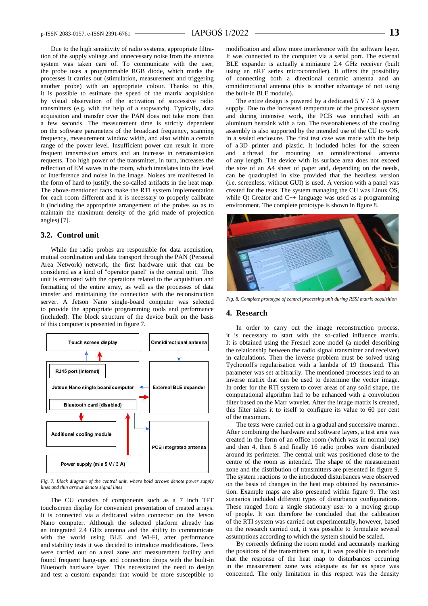Due to the high sensitivity of radio systems, appropriate filtration of the supply voltage and unnecessary noise from the antenna system was taken care of. To communicate with the user, the probe uses a programmable RGB diode, which marks the processes it carries out (stimulation, measurement and triggering another probe) with an appropriate colour. Thanks to this, it is possible to estimate the speed of the matrix acquisition by visual observation of the activation of successive radio transmitters (e.g. with the help of a stopwatch). Typically, data acquisition and transfer over the PAN does not take more than a few seconds. The measurement time is strictly dependent on the software parameters of the broadcast frequency, scanning frequency, measurement window width, and also within a certain range of the power level. Insufficient power can result in more frequent transmission errors and an increase in retransmission requests. Too high power of the transmitter, in turn, increases the reflection of EM waves in the room, which translates into the level of interference and noise in the image. Noises are manifested in the form of hard to justify, the so-called artifacts in the heat map. The above-mentioned facts make the RTI system implementation for each room different and it is necessary to properly calibrate it (including the appropriate arrangement of the probes so as to maintain the maximum density of the grid made of projection angles) [7].

### **3.2. Control unit**

While the radio probes are responsible for data acquisition, mutual coordination and data transport through the PAN (Personal Area Network) network, the first hardware unit that can be considered as a kind of "operator panel" is the central unit. This unit is entrusted with the operations related to the acquisition and formatting of the entire array, as well as the processes of data transfer and maintaining the connection with the reconstruction server. A Jetson Nano single-board computer was selected to provide the appropriate programming tools and performance (included). The block structure of the device built on the basis of this computer is presented in figure 7.



*Fig. 7. Block diagram of the central unit, where bold arrows denote power supply lines and thin arrows denote signal lines*

The CU consists of components such as a 7 inch TFT touchscreen display for convenient presentation of created arrays. It is connected via a dedicated video connector on the Jetson Nano computer. Although the selected platform already has an integrated 2.4 GHz antenna and the ability to communicate with the world using BLE and Wi-Fi, after performance and stability tests it was decided to introduce modifications. Tests were carried out on a real zone and measurement facility and found frequent hang-ups and connection drops with the built-in Bluetooth hardware layer. This necessitated the need to design and test a custom expander that would be more susceptible to

modification and allow more interference with the software layer. It was connected to the computer via a serial port. The external BLE expander is actually a miniature 2.4 GHz receiver (built using an nRF series microcontroller). It offers the possibility of connecting both a directional ceramic antenna and an omnidirectional antenna (this is another advantage of not using the built-in BLE module).

The entire design is powered by a dedicated  $5 \text{ V} / 3$  A power supply. Due to the increased temperature of the processor system and during intensive work, the PCB was enriched with an aluminum heatsink with a fan. The reasonableness of the cooling assembly is also supported by the intended use of the CU to work in a sealed enclosure. The first test case was made with the help of a 3D printer and plastic. It included holes for the screen and a thread for mounting an omnidirectional antenna of any length. The device with its surface area does not exceed the size of an A4 sheet of paper and, depending on the needs, can be quadrupled in size provided that the headless version (i.e. screenless, without GUI) is used. A version with a panel was created for the tests. The system managing the CU was Linux OS, while Qt Creator and C++ language was used as a programming environment. The complete prototype is shown in figure 8.



*Fig. 8. Complete prototype of central processing unit during RSSI matrix acquisition*

#### **4. Research**

In order to carry out the image reconstruction process, it is necessary to start with the so-called influence matrix. It is obtained using the Fresnel zone model (a model describing the relationship between the radio signal transmitter and receiver) in calculations. Then the inverse problem must be solved using Tychonoff's regularisation with a lambda of 19 thousand. This parameter was set arbitrarily. The mentioned processes lead to an inverse matrix that can be used to determine the vector image. In order for the RTI system to cover areas of any solid shape, the computational algorithm had to be enhanced with a convolution filter based on the Marr wavelet. After the image matrix is created, this filter takes it to itself to configure its value to 60 per cent of the maximum.

The tests were carried out in a gradual and successive manner. After combining the hardware and software layers, a test area was created in the form of an office room (which was in normal use) and then 4, then 8 and finally 16 radio probes were distributed around its perimeter. The central unit was positioned close to the centre of the room as intended. The shape of the measurement zone and the distribution of transmitters are presented in figure 9. The system reactions to the introduced disturbances were observed on the basis of changes in the heat map obtained by reconstruction. Example maps are also presented within figure 9. The test scenarios included different types of disturbance configurations. These ranged from a single stationary user to a moving group of people. It can therefore be concluded that the calibration of the RTI system was carried out experimentally, however, based on the research carried out, it was possible to formulate several assumptions according to which the system should be scaled.

By correctly defining the room model and accurately marking the positions of the transmitters on it, it was possible to conclude that the response of the heat map to disturbances occurring in the measurement zone was adequate as far as space was concerned. The only limitation in this respect was the density